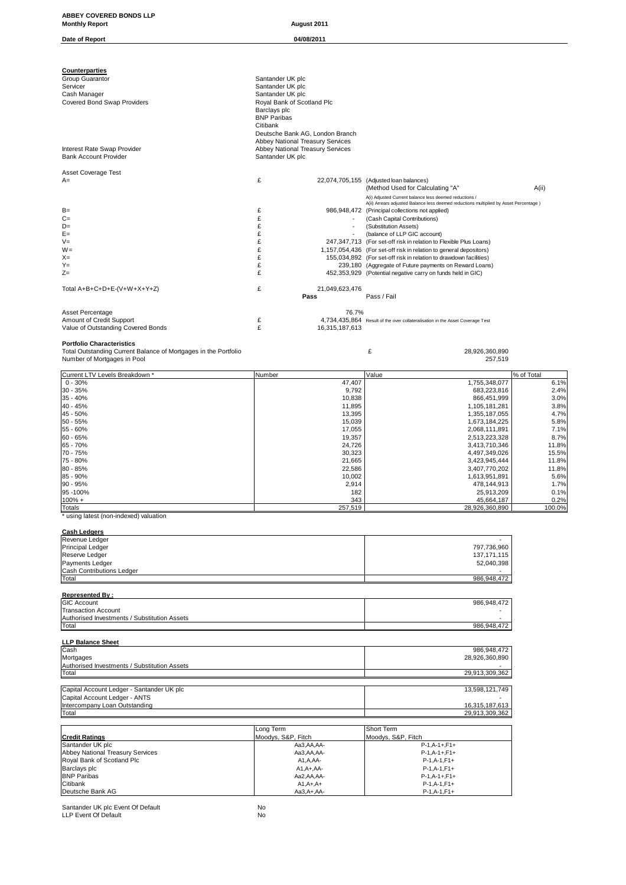| ABBEY COVERED BONDS LLP                                                    |                                                                     |                                                                                                                                         |                    |
|----------------------------------------------------------------------------|---------------------------------------------------------------------|-----------------------------------------------------------------------------------------------------------------------------------------|--------------------|
| <b>Monthly Report</b>                                                      | August 2011                                                         |                                                                                                                                         |                    |
| Date of Report                                                             | 04/08/2011                                                          |                                                                                                                                         |                    |
|                                                                            |                                                                     |                                                                                                                                         |                    |
| Counterparties<br>Group Guarantor                                          | Santander UK plc                                                    |                                                                                                                                         |                    |
| Servicer                                                                   | Santander UK plc                                                    |                                                                                                                                         |                    |
| Cash Manager<br>Covered Bond Swap Providers                                | Santander UK plc<br>Royal Bank of Scotland Plc                      |                                                                                                                                         |                    |
|                                                                            | Barclays plc                                                        |                                                                                                                                         |                    |
|                                                                            | <b>BNP Paribas</b><br>Citibank                                      |                                                                                                                                         |                    |
|                                                                            | Deutsche Bank AG, London Branch<br>Abbey National Treasury Services |                                                                                                                                         |                    |
| Interest Rate Swap Provider<br><b>Bank Account Provider</b>                | Abbey National Treasury Services<br>Santander UK plc                |                                                                                                                                         |                    |
|                                                                            |                                                                     |                                                                                                                                         |                    |
| Asset Coverage Test<br>$A=$                                                | £                                                                   | 22,074,705,155 (Adjusted loan balances)                                                                                                 |                    |
|                                                                            |                                                                     | (Method Used for Calculating "A"<br>A(i) Adjusted Current balance less deemed reductions /                                              | A(ii)              |
|                                                                            |                                                                     | A(ii) Arrears adjusted Balance less deemed reductions multiplied by Asset Percentage )                                                  |                    |
| $B=$<br>$C =$                                                              | £<br>£                                                              | 986,948,472 (Principal collections not applied)<br>(Cash Capital Contributions)                                                         |                    |
| $D=$<br>$E =$                                                              | £<br>$\overline{\phantom{a}}$<br>£                                  | (Substitution Assets)<br>(balance of LLP GIC account)                                                                                   |                    |
| $V =$                                                                      | £                                                                   | 247,347,713 (For set-off risk in relation to Flexible Plus Loans)                                                                       |                    |
| $W =$<br>$X =$                                                             | £<br>£                                                              | 1,157,054,436 (For set-off risk in relation to general depositors)<br>155,034,892 (For set-off risk in relation to drawdown facilities) |                    |
| $Y =$<br>$Z =$                                                             | £<br>£                                                              | 239,180 (Aggregate of Future payments on Reward Loans)<br>452,353,929 (Potential negative carry on funds held in GIC)                   |                    |
|                                                                            |                                                                     |                                                                                                                                         |                    |
| Total A+B+C+D+E-(V+W+X+Y+Z)                                                | £<br>21,049,623,476<br>Pass                                         | Pass / Fail                                                                                                                             |                    |
| Asset Percentage                                                           | 76.7%                                                               |                                                                                                                                         |                    |
| Amount of Credit Support<br>Value of Outstanding Covered Bonds             | £<br>£<br>16,315,187,613                                            | 4,734,435,864 Result of the over collateralisation in the Asset Coverage Test                                                           |                    |
| <b>Portfolio Characteristics</b>                                           |                                                                     |                                                                                                                                         |                    |
| Total Outstanding Current Balance of Mortgages in the Portfolio            |                                                                     | £<br>28,926,360,890                                                                                                                     |                    |
| Number of Mortgages in Pool                                                |                                                                     | 257,519                                                                                                                                 |                    |
| Current LTV Levels Breakdown *<br>$0 - 30%$                                | Number<br>47,407                                                    | Value<br>1,755,348,077                                                                                                                  | % of Total<br>6.1% |
| 30 - 35%<br>$35 - 40%$                                                     | 9,792<br>10,838                                                     | 683,223,816<br>866,451,999                                                                                                              | 2.4%<br>3.0%       |
| 40 - 45%                                                                   | 11,895                                                              | 1,105,181,281                                                                                                                           | 3.8%               |
| 45 - 50%<br>$50 - 55%$                                                     | 13,395<br>15,039                                                    | 1,355,187,055<br>1,673,184,225                                                                                                          | 4.7%<br>5.8%       |
| 55 - 60%<br>$60 - 65%$                                                     | 17,055<br>19,357                                                    | 2,068,111,891<br>2,513,223,328                                                                                                          | 7.1%<br>8.7%       |
| 65 - 70%                                                                   | 24,726                                                              | 3,413,710,346                                                                                                                           | 11.8%              |
| 70 - 75%<br>75 - 80%                                                       | 30,323<br>21,665                                                    | 4,497,349,026<br>3,423,945,444                                                                                                          | 15.5%<br>11.8%     |
| 80 - 85%<br>85 - 90%                                                       | 22,586                                                              | 3,407,770,202                                                                                                                           | 11.8%              |
| 90 - 95%                                                                   | 10,002<br>2,914                                                     | 1,613,951,891<br>478,144,913                                                                                                            | 5.6%<br>1.7%       |
| 95-100%<br>$100% +$                                                        | 182<br>343                                                          | 25,913,209<br>45,664,187                                                                                                                | 0.1%<br>0.2%       |
| Totals<br>* using latest (non-indexed) valuation                           | 257,519                                                             | 28,926,360,890                                                                                                                          | 100.0%             |
|                                                                            |                                                                     |                                                                                                                                         |                    |
| <b>Cash Ledgers</b><br>Revenue Ledger                                      |                                                                     |                                                                                                                                         |                    |
| Principal Ledger<br>Reserve Ledger                                         |                                                                     | 797,736,960<br>137, 171, 115                                                                                                            |                    |
| Payments Ledger<br>Cash Contributions Ledger                               |                                                                     | 52,040,398                                                                                                                              |                    |
| Total                                                                      |                                                                     | 986,948,472                                                                                                                             |                    |
| <b>Represented By:</b>                                                     |                                                                     |                                                                                                                                         |                    |
| <b>GIC Account</b><br><b>Transaction Account</b>                           |                                                                     | 986,948,472                                                                                                                             |                    |
| Authorised Investments / Substitution Assets<br>Total                      |                                                                     | 986,948,472                                                                                                                             |                    |
| <b>LLP Balance Sheet</b>                                                   |                                                                     |                                                                                                                                         |                    |
| Cash                                                                       |                                                                     | 986,948,472                                                                                                                             |                    |
| Mortgages<br>Authorised Investments / Substitution Assets                  |                                                                     | 28,926,360,890                                                                                                                          |                    |
| Total                                                                      |                                                                     | 29,913,309,362                                                                                                                          |                    |
| Capital Account Ledger - Santander UK plc<br>Capital Account Ledger - ANTS |                                                                     | 13,598,121,749                                                                                                                          |                    |
| Intercompany Loan Outstanding<br>Total                                     |                                                                     | 16,315,187,613<br>29,913,309,362                                                                                                        |                    |
|                                                                            |                                                                     |                                                                                                                                         |                    |
| <b>Credit Ratings</b>                                                      | Long Term<br>Moodys, S&P, Fitch                                     | Short Term<br>Moodys, S&P, Fitch                                                                                                        |                    |
| Santander UK plc<br>Abbey National Treasury Services                       | Aa3,AA,AA-<br>Aa3,AA,AA-                                            | $P-1, A-1+, F1+$<br>$P-1, A-1+, F1+$                                                                                                    |                    |
| Royal Bank of Scotland Plc<br>Barclays plc                                 | A1,A,AA-                                                            | $P-1, A-1, F1+$                                                                                                                         |                    |
| <b>BNP Paribas</b>                                                         | $A1, A+, AA-$<br>Aa2,AA,AA-                                         | $P-1, A-1, F1+$<br>$P-1, A-1+, F1+$                                                                                                     |                    |
| Citibank<br>Deutsche Bank AG                                               | $A1, A+, A+$<br>Aa3, A+, AA-                                        | $P-1, A-1, F1+$<br>$P-1, A-1, F1+$                                                                                                      |                    |

Santander UK plc Event Of Default No LLP Event Of Default No